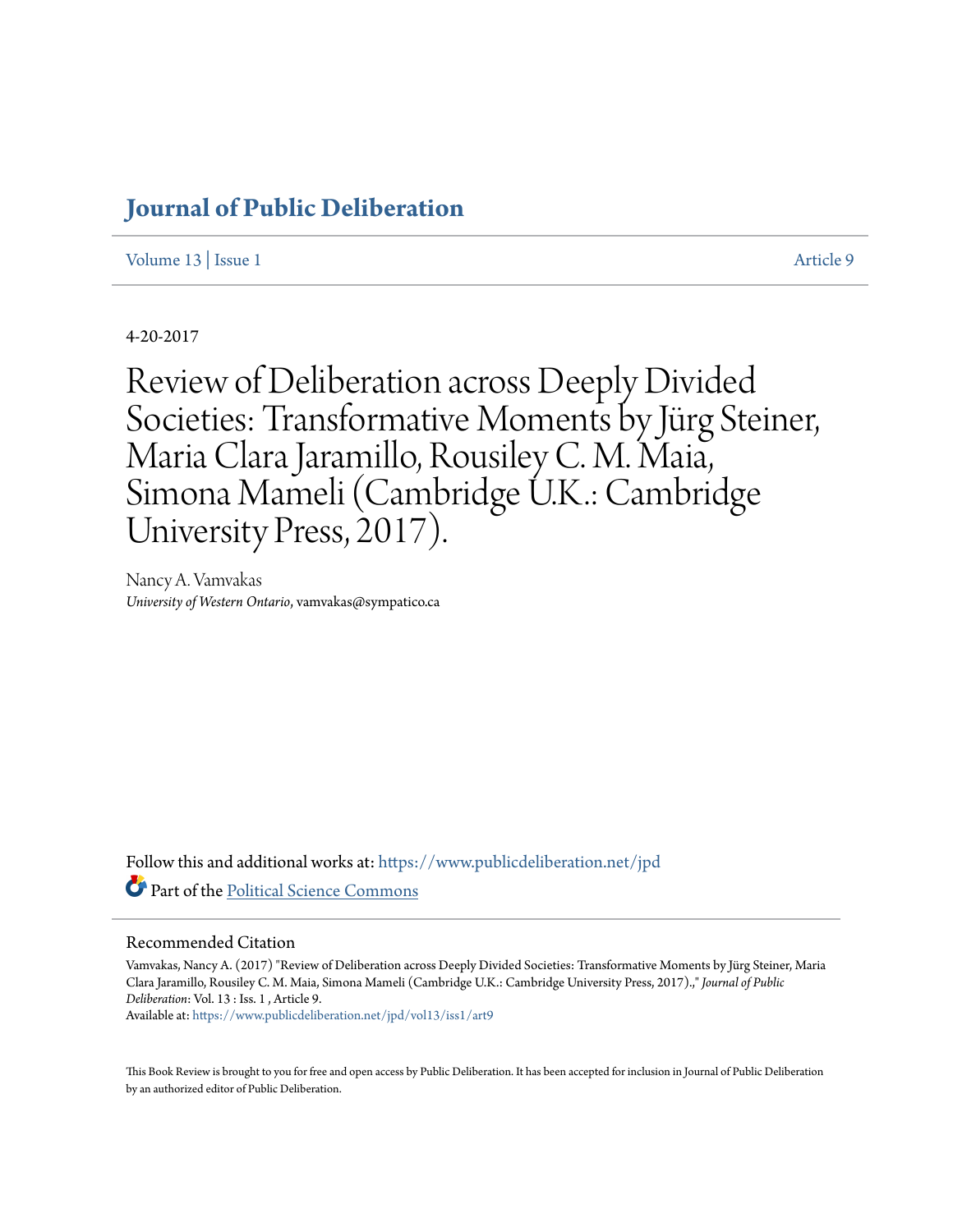# **[Journal of Public Deliberation](https://www.publicdeliberation.net/jpd?utm_source=www.publicdeliberation.net%2Fjpd%2Fvol13%2Fiss1%2Fart9&utm_medium=PDF&utm_campaign=PDFCoverPages)**

[Volume 13](https://www.publicdeliberation.net/jpd/vol13?utm_source=www.publicdeliberation.net%2Fjpd%2Fvol13%2Fiss1%2Fart9&utm_medium=PDF&utm_campaign=PDFCoverPages) | [Issue 1](https://www.publicdeliberation.net/jpd/vol13/iss1?utm_source=www.publicdeliberation.net%2Fjpd%2Fvol13%2Fiss1%2Fart9&utm_medium=PDF&utm_campaign=PDFCoverPages) [Article 9](https://www.publicdeliberation.net/jpd/vol13/iss1/art9?utm_source=www.publicdeliberation.net%2Fjpd%2Fvol13%2Fiss1%2Fart9&utm_medium=PDF&utm_campaign=PDFCoverPages)

4-20-2017

Review of Deliberation across Deeply Divided Societies: Transformative Moments by Jürg Steiner, Maria Clara Jaramillo, Rousiley C. M. Maia, Simona Mameli (Cambridge U.K.: Cambridge University Press, 2017).

Nancy A. Vamvakas *University of Western Ontario*, vamvakas@sympatico.ca

Follow this and additional works at: [https://www.publicdeliberation.net/jpd](https://www.publicdeliberation.net/jpd?utm_source=www.publicdeliberation.net%2Fjpd%2Fvol13%2Fiss1%2Fart9&utm_medium=PDF&utm_campaign=PDFCoverPages) Part of the [Political Science Commons](http://network.bepress.com/hgg/discipline/386?utm_source=www.publicdeliberation.net%2Fjpd%2Fvol13%2Fiss1%2Fart9&utm_medium=PDF&utm_campaign=PDFCoverPages)

#### Recommended Citation

Vamvakas, Nancy A. (2017) "Review of Deliberation across Deeply Divided Societies: Transformative Moments by Jürg Steiner, Maria Clara Jaramillo, Rousiley C. M. Maia, Simona Mameli (Cambridge U.K.: Cambridge University Press, 2017).," *Journal of Public Deliberation*: Vol. 13 : Iss. 1 , Article 9. Available at: [https://www.publicdeliberation.net/jpd/vol13/iss1/art9](https://www.publicdeliberation.net/jpd/vol13/iss1/art9?utm_source=www.publicdeliberation.net%2Fjpd%2Fvol13%2Fiss1%2Fart9&utm_medium=PDF&utm_campaign=PDFCoverPages)

This Book Review is brought to you for free and open access by Public Deliberation. It has been accepted for inclusion in Journal of Public Deliberation by an authorized editor of Public Deliberation.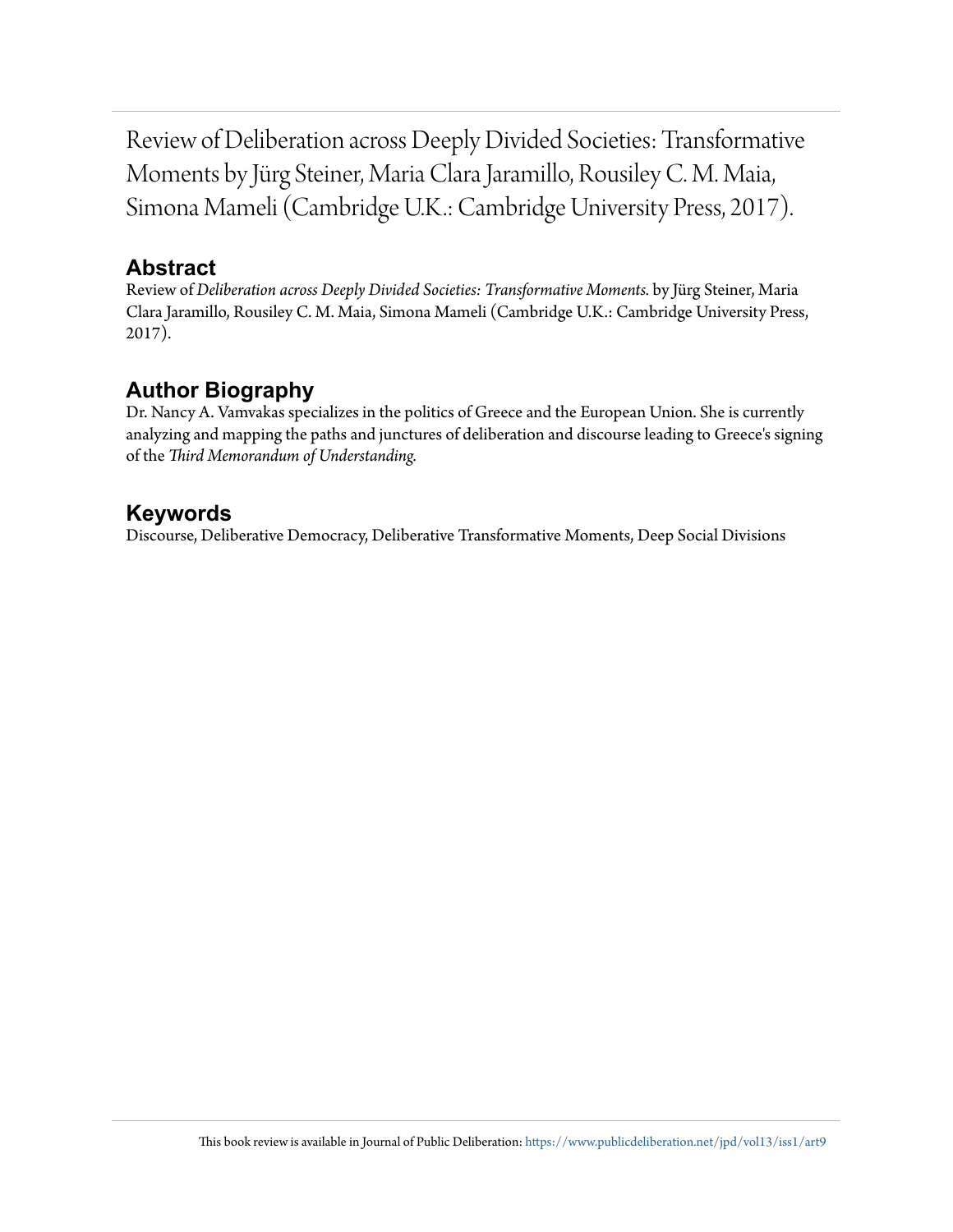Review of Deliberation across Deeply Divided Societies: Transformative Moments by Jürg Steiner, Maria Clara Jaramillo, Rousiley C. M. Maia, Simona Mameli (Cambridge U.K.: Cambridge University Press, 2017).

#### **Abstract**

Review of *Deliberation across Deeply Divided Societies: Transformative Moments.* by Jürg Steiner, Maria Clara Jaramillo, Rousiley C. M. Maia, Simona Mameli (Cambridge U.K.: Cambridge University Press, 2017).

## **Author Biography**

Dr. Nancy A. Vamvakas specializes in the politics of Greece and the European Union. She is currently analyzing and mapping the paths and junctures of deliberation and discourse leading to Greece's signing of the *Third Memorandum of Understanding.*

### **Keywords**

Discourse, Deliberative Democracy, Deliberative Transformative Moments, Deep Social Divisions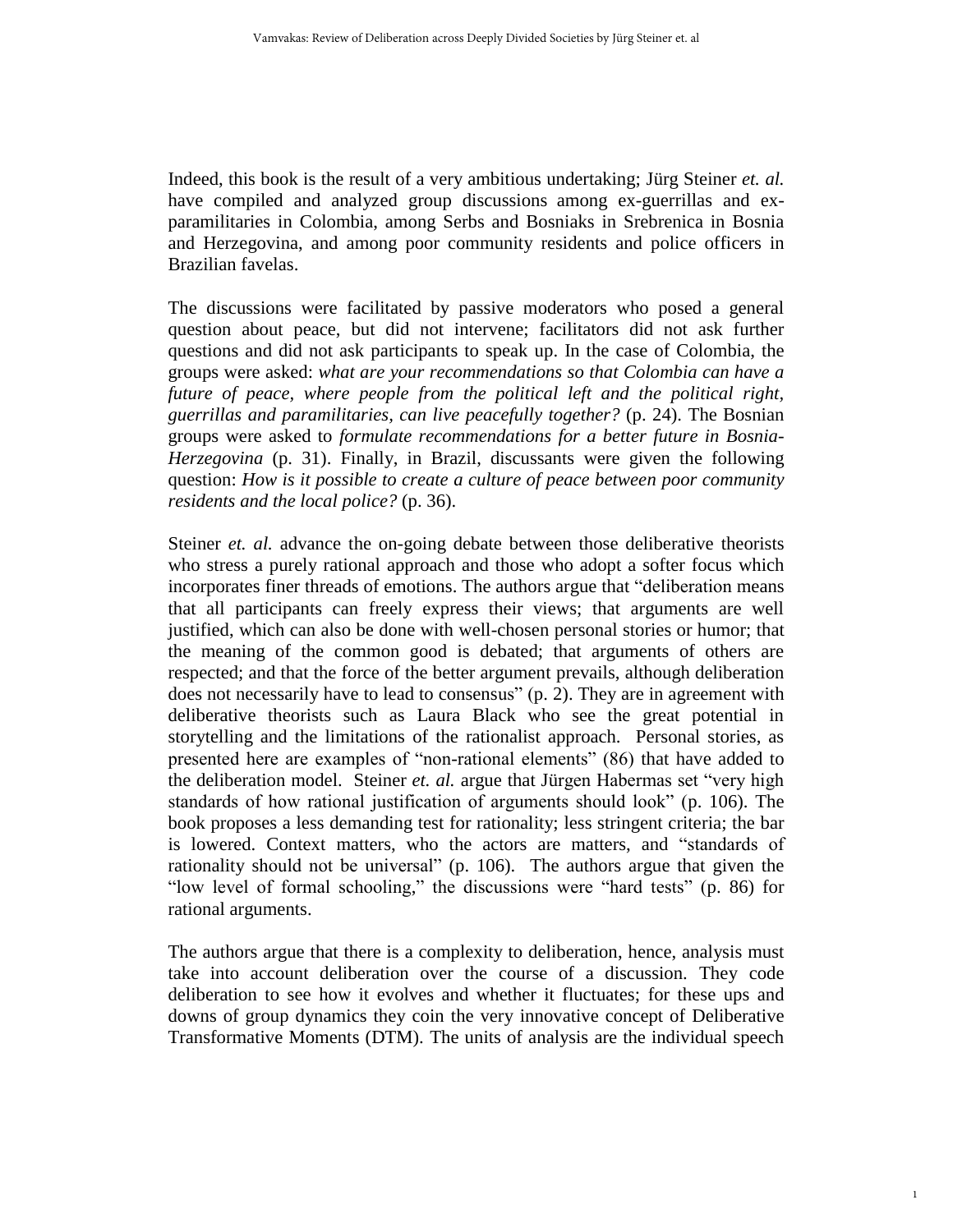Indeed, this book is the result of a very ambitious undertaking; Jürg Steiner *et. al.*  have compiled and analyzed group discussions among ex-guerrillas and exparamilitaries in Colombia, among Serbs and Bosniaks in Srebrenica in Bosnia and Herzegovina, and among poor community residents and police officers in Brazilian favelas.

The discussions were facilitated by passive moderators who posed a general question about peace, but did not intervene; facilitators did not ask further questions and did not ask participants to speak up. In the case of Colombia, the groups were asked: *what are your recommendations so that Colombia can have a future of peace, where people from the political left and the political right, guerrillas and paramilitaries, can live peacefully together?* (p. 24). The Bosnian groups were asked to *formulate recommendations for a better future in Bosnia-Herzegovina* (p. 31). Finally, in Brazil, discussants were given the following question: *How is it possible to create a culture of peace between poor community residents and the local police?* (p. 36).

Steiner *et. al.* advance the on-going debate between those deliberative theorists who stress a purely rational approach and those who adopt a softer focus which incorporates finer threads of emotions. The authors argue that "deliberation means that all participants can freely express their views; that arguments are well justified, which can also be done with well-chosen personal stories or humor; that the meaning of the common good is debated; that arguments of others are respected; and that the force of the better argument prevails, although deliberation does not necessarily have to lead to consensus" (p. 2). They are in agreement with deliberative theorists such as Laura Black who see the great potential in storytelling and the limitations of the rationalist approach. Personal stories, as presented here are examples of "non-rational elements" (86) that have added to the deliberation model. Steiner *et. al.* argue that Jürgen Habermas set "very high standards of how rational justification of arguments should look" (p. 106). The book proposes a less demanding test for rationality; less stringent criteria; the bar is lowered. Context matters, who the actors are matters, and "standards of rationality should not be universal" (p. 106). The authors argue that given the "low level of formal schooling," the discussions were "hard tests" (p. 86) for rational arguments.

The authors argue that there is a complexity to deliberation, hence, analysis must take into account deliberation over the course of a discussion. They code deliberation to see how it evolves and whether it fluctuates; for these ups and downs of group dynamics they coin the very innovative concept of Deliberative Transformative Moments (DTM). The units of analysis are the individual speech

1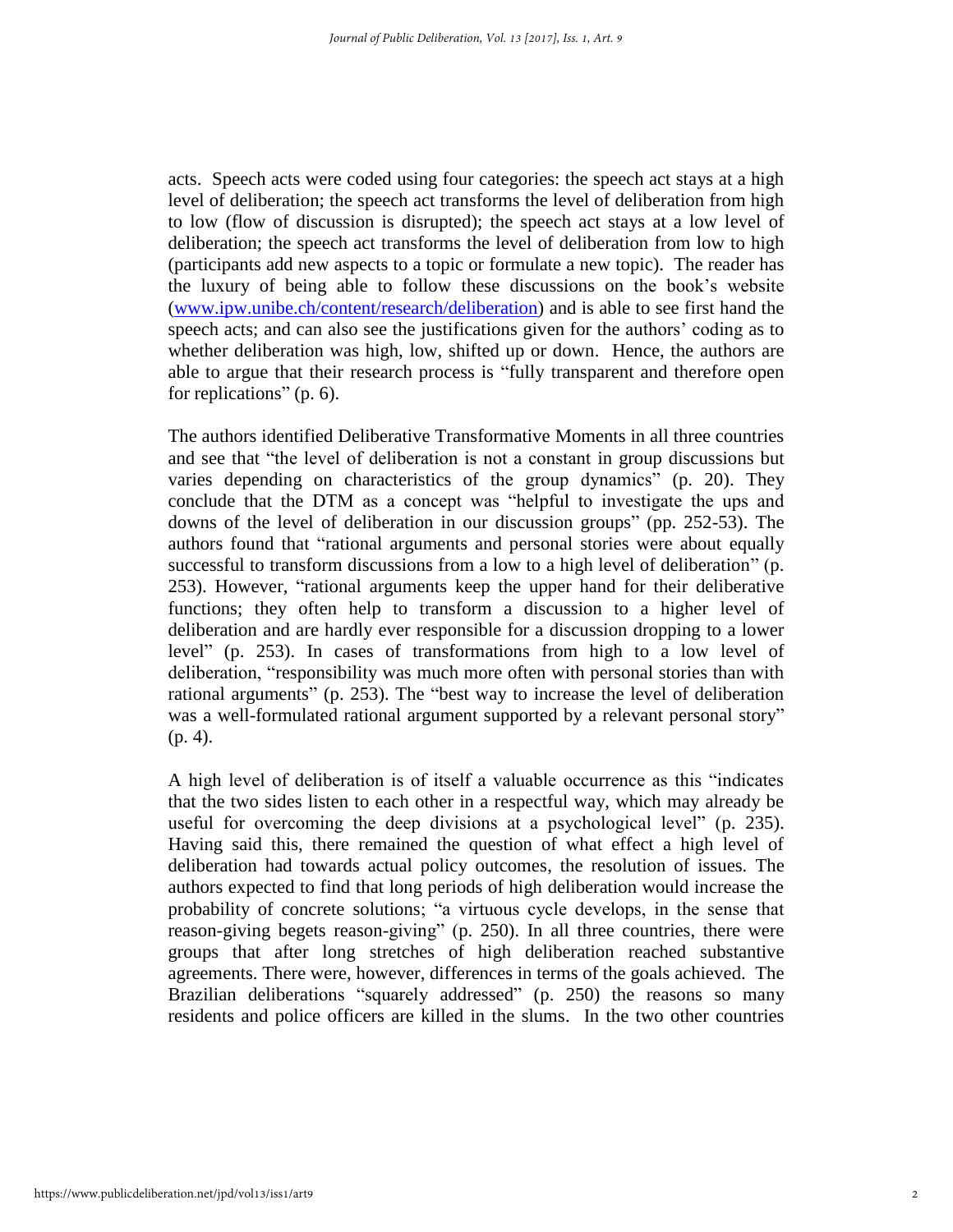acts. Speech acts were coded using four categories: the speech act stays at a high level of deliberation; the speech act transforms the level of deliberation from high to low (flow of discussion is disrupted); the speech act stays at a low level of deliberation; the speech act transforms the level of deliberation from low to high (participants add new aspects to a topic or formulate a new topic). The reader has the luxury of being able to follow these discussions on the book's website [\(www.ipw.unibe.ch/content/research/deliberation\)](http://www.ipw.unibe.ch/content/research/deliberation) and is able to see first hand the speech acts; and can also see the justifications given for the authors' coding as to whether deliberation was high, low, shifted up or down. Hence, the authors are able to argue that their research process is "fully transparent and therefore open for replications" (p. 6).

The authors identified Deliberative Transformative Moments in all three countries and see that "the level of deliberation is not a constant in group discussions but varies depending on characteristics of the group dynamics" (p. 20). They conclude that the DTM as a concept was "helpful to investigate the ups and downs of the level of deliberation in our discussion groups" (pp. 252-53). The authors found that "rational arguments and personal stories were about equally successful to transform discussions from a low to a high level of deliberation" (p. 253). However, "rational arguments keep the upper hand for their deliberative functions; they often help to transform a discussion to a higher level of deliberation and are hardly ever responsible for a discussion dropping to a lower level" (p. 253). In cases of transformations from high to a low level of deliberation, "responsibility was much more often with personal stories than with rational arguments" (p. 253). The "best way to increase the level of deliberation was a well-formulated rational argument supported by a relevant personal story" (p. 4).

A high level of deliberation is of itself a valuable occurrence as this "indicates that the two sides listen to each other in a respectful way, which may already be useful for overcoming the deep divisions at a psychological level" (p. 235). Having said this, there remained the question of what effect a high level of deliberation had towards actual policy outcomes, the resolution of issues. The authors expected to find that long periods of high deliberation would increase the probability of concrete solutions; "a virtuous cycle develops, in the sense that reason-giving begets reason-giving" (p. 250). In all three countries, there were groups that after long stretches of high deliberation reached substantive agreements. There were, however, differences in terms of the goals achieved. The Brazilian deliberations "squarely addressed" (p. 250) the reasons so many residents and police officers are killed in the slums. In the two other countries